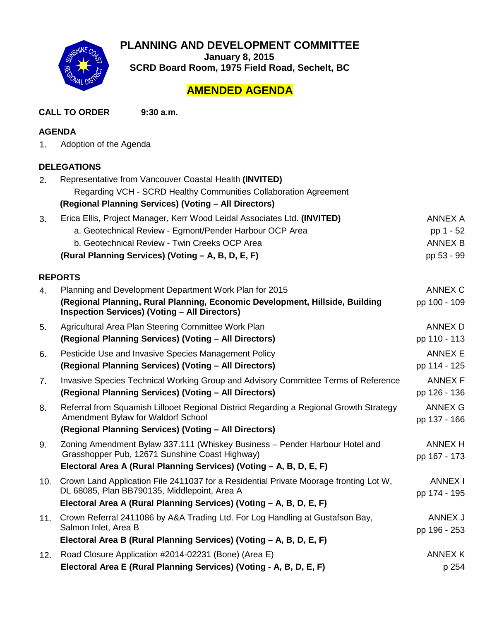

**PLANNING AND DEVELOPMENT COMMITTEE**

**January 8, 2015** 

**SCRD Board Room, 1975 Field Road, Sechelt, BC**

# **AMENDED AGENDA**

**CALL TO ORDER 9:30 a.m.**

# **AGENDA**

1. Adoption of the Agenda

# **DELEGATIONS**

| 2.  | Representative from Vancouver Coastal Health (INVITED)<br>Regarding VCH - SCRD Healthy Communities Collaboration Agreement           |                                |  |  |
|-----|--------------------------------------------------------------------------------------------------------------------------------------|--------------------------------|--|--|
|     | (Regional Planning Services) (Voting - All Directors)                                                                                |                                |  |  |
| 3.  | Erica Ellis, Project Manager, Kerr Wood Leidal Associates Ltd. (INVITED)                                                             | <b>ANNEX A</b>                 |  |  |
|     | a. Geotechnical Review - Egmont/Pender Harbour OCP Area                                                                              | pp 1 - 52                      |  |  |
|     | b. Geotechnical Review - Twin Creeks OCP Area                                                                                        | <b>ANNEX B</b>                 |  |  |
|     | (Rural Planning Services) (Voting - A, B, D, E, F)                                                                                   | pp 53 - 99                     |  |  |
|     | <b>REPORTS</b>                                                                                                                       |                                |  |  |
| 4.  | Planning and Development Department Work Plan for 2015                                                                               | ANNEX C                        |  |  |
|     | (Regional Planning, Rural Planning, Economic Development, Hillside, Building<br><b>Inspection Services) (Voting - All Directors)</b> | pp 100 - 109                   |  |  |
| 5.  | Agricultural Area Plan Steering Committee Work Plan                                                                                  | <b>ANNEX D</b>                 |  |  |
|     | (Regional Planning Services) (Voting - All Directors)                                                                                | pp 110 - 113                   |  |  |
| 6.  | Pesticide Use and Invasive Species Management Policy                                                                                 | <b>ANNEX E</b>                 |  |  |
|     | (Regional Planning Services) (Voting - All Directors)                                                                                | pp 114 - 125                   |  |  |
| 7.  | Invasive Species Technical Working Group and Advisory Committee Terms of Reference                                                   | <b>ANNEX F</b>                 |  |  |
|     | (Regional Planning Services) (Voting - All Directors)                                                                                | pp 126 - 136                   |  |  |
| 8.  | Referral from Squamish Lillooet Regional District Regarding a Regional Growth Strategy<br>Amendment Bylaw for Waldorf School         | <b>ANNEX G</b><br>pp 137 - 166 |  |  |
|     | (Regional Planning Services) (Voting - All Directors)                                                                                |                                |  |  |
| 9.  | Zoning Amendment Bylaw 337.111 (Whiskey Business - Pender Harbour Hotel and<br>Grasshopper Pub, 12671 Sunshine Coast Highway)        | <b>ANNEX H</b><br>pp 167 - 173 |  |  |
|     | Electoral Area A (Rural Planning Services) (Voting - A, B, D, E, F)                                                                  |                                |  |  |
| 10. | Crown Land Application File 2411037 for a Residential Private Moorage fronting Lot W,                                                | <b>ANNEX I</b>                 |  |  |
|     | DL 68085, Plan BB790135, Middlepoint, Area A                                                                                         | pp 174 - 195                   |  |  |
|     | Electoral Area A (Rural Planning Services) (Voting - A, B, D, E, F)                                                                  |                                |  |  |
| 11. | Crown Referral 2411086 by A&A Trading Ltd. For Log Handling at Gustafson Bay,                                                        | ANNEX J                        |  |  |
|     | Salmon Inlet, Area B                                                                                                                 | pp 196 - 253                   |  |  |
|     | Electoral Area B (Rural Planning Services) (Voting - A, B, D, E, F)                                                                  |                                |  |  |
| 12. | Road Closure Application #2014-02231 (Bone) (Area E)                                                                                 | <b>ANNEX K</b>                 |  |  |
|     | Electoral Area E (Rural Planning Services) (Voting - A, B, D, E, F)                                                                  | p 254                          |  |  |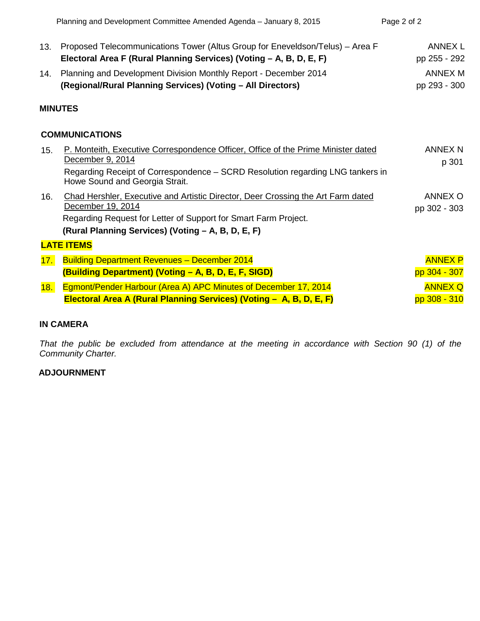|                       | Planning and Development Committee Amended Agenda - January 8, 2015                                                                                                                                                            | Page 2 of 2                    |  |  |
|-----------------------|--------------------------------------------------------------------------------------------------------------------------------------------------------------------------------------------------------------------------------|--------------------------------|--|--|
| 13.                   | Proposed Telecommunications Tower (Altus Group for Eneveldson/Telus) – Area F<br>Electoral Area F (Rural Planning Services) (Voting - A, B, D, E, F)                                                                           | <b>ANNEX L</b><br>pp 255 - 292 |  |  |
| 14.                   | Planning and Development Division Monthly Report - December 2014<br>(Regional/Rural Planning Services) (Voting - All Directors)                                                                                                | <b>ANNEX M</b><br>pp 293 - 300 |  |  |
|                       | <b>MINUTES</b>                                                                                                                                                                                                                 |                                |  |  |
| <b>COMMUNICATIONS</b> |                                                                                                                                                                                                                                |                                |  |  |
| 15.                   | P. Monteith, Executive Correspondence Officer, Office of the Prime Minister dated<br>December 9, 2014<br>Regarding Receipt of Correspondence - SCRD Resolution regarding LNG tankers in<br>Howe Sound and Georgia Strait.      | <b>ANNEX N</b><br>p 301        |  |  |
| 16.                   | Chad Hershler, Executive and Artistic Director, Deer Crossing the Art Farm dated<br>December 19, 2014<br>Regarding Request for Letter of Support for Smart Farm Project.<br>(Rural Planning Services) (Voting - A, B, D, E, F) | ANNEX O<br>pp 302 - 303        |  |  |
| <b>LATE ITEMS</b>     |                                                                                                                                                                                                                                |                                |  |  |
| 17.                   | <b>Building Department Revenues - December 2014</b><br>(Building Department) (Voting - A, B, D, E, F, SIGD)                                                                                                                    | <b>ANNEX P</b><br>pp 304 - 307 |  |  |
| 18.                   | Egmont/Pender Harbour (Area A) APC Minutes of December 17, 2014<br>Electoral Area A (Rural Planning Services) (Voting - A, B, D, E, F)                                                                                         | <b>ANNEX Q</b><br>pp 308 - 310 |  |  |

# **IN CAMERA**

*That the public be excluded from attendance at the meeting in accordance with Section 90 (1) of the Community Charter.*

# **ADJOURNMENT**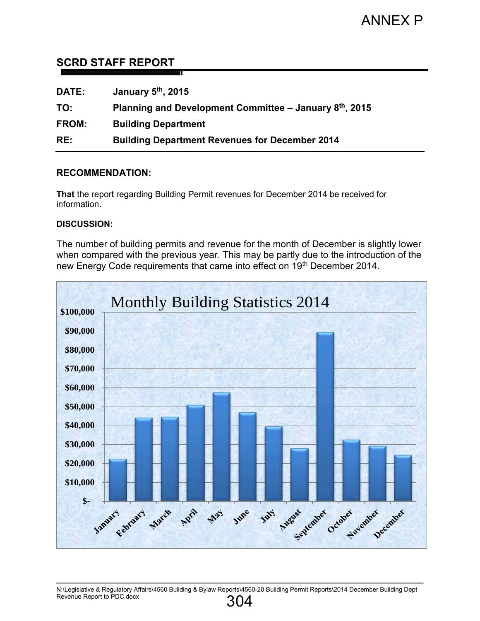# <span id="page-2-0"></span>**SCRD STAFF REPORT**

| <b>DATE:</b> | January 5 <sup>th</sup> , 2015                                        |
|--------------|-----------------------------------------------------------------------|
| TO:          | Planning and Development Committee $-$ January 8 <sup>th</sup> , 2015 |
| FROM:        | <b>Building Department</b>                                            |
| RE:          | <b>Building Department Revenues for December 2014</b>                 |

# **RECOMMENDATION:**

**That** the report regarding Building Permit revenues for December 2014 be received for information**.** 

# **DISCUSSION:**

The number of building permits and revenue for the month of December is slightly lower when compared with the previous year. This may be partly due to the introduction of the new Energy Code requirements that came into effect on 19th December 2014.

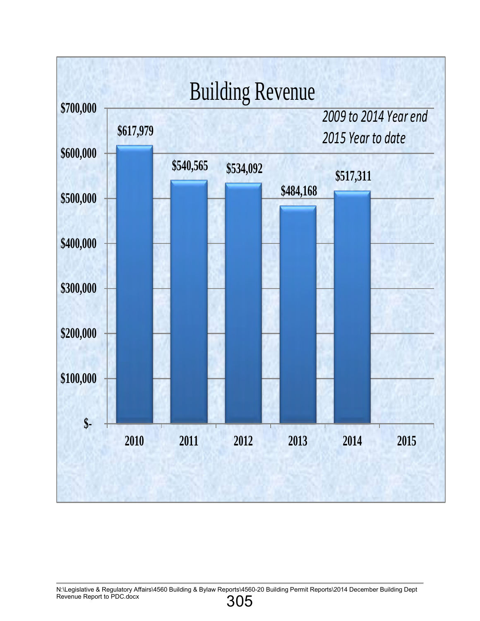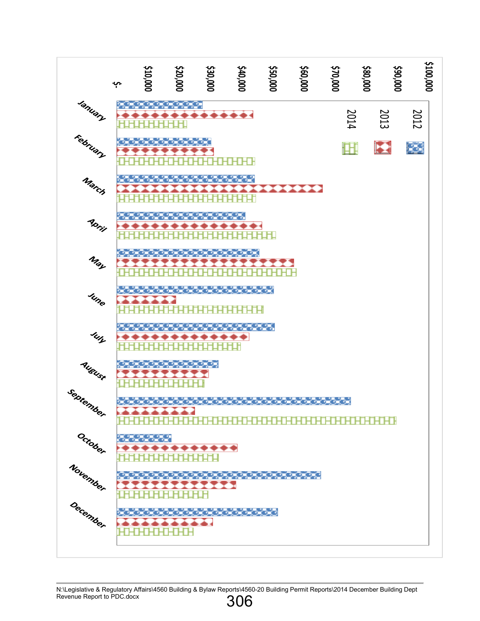

N:\Legislative & Regulatory Affairs\4560 Building & Bylaw Reports\4560-20 Building Permit Reports\2014 December Building Dept Revenue Report to PDC.docx 306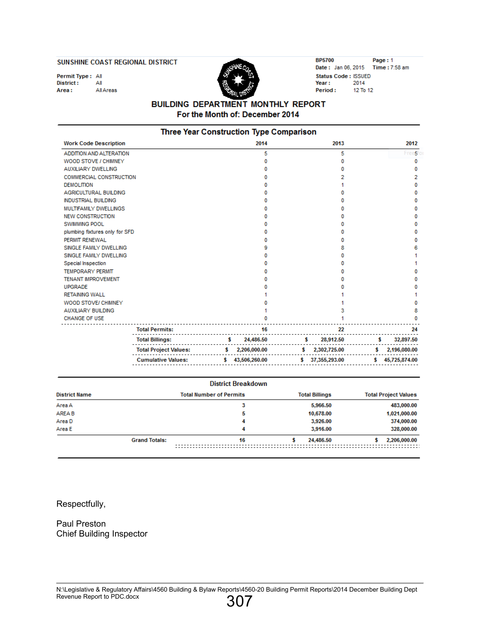#### SUNSHINE COAST REGIONAL DISTRICT

Permit Type: All District:  $A$ AllAreas Area:



**BP5700** Page: 1 Date: Jan 06, 2015 Time: 7:58 am Status Code: ISSUED Year: 2014 12 To 12 Period:

### **BUILDING DEPARTMENT MONTHLY REPORT** For the Month of: December 2014

| Three Year Construction Type Comparison |                 |                     |                 |  |  |  |  |
|-----------------------------------------|-----------------|---------------------|-----------------|--|--|--|--|
| <b>Work Code Description</b>            | 2014            | 2013                | 2012            |  |  |  |  |
| ADDITION AND ALTERATION                 | 5               | 5                   | Free <b>5</b>   |  |  |  |  |
| WOOD STOVE / CHIMNEY                    | 0               | o                   | 0               |  |  |  |  |
| <b>AUXILIARY DWELLING</b>               | n               |                     | 0               |  |  |  |  |
| <b>COMMERCIAL CONSTRUCTION</b>          |                 |                     | 2               |  |  |  |  |
| <b>DEMOLITION</b>                       | n               |                     | 0               |  |  |  |  |
| <b>AGRICULTURAL BUILDING</b>            |                 |                     | ٥               |  |  |  |  |
| <b>INDUSTRIAL BUILDING</b>              | o               |                     | o               |  |  |  |  |
| MULTIFAMILY DWELLINGS                   | o               |                     | o               |  |  |  |  |
| <b>NEW CONSTRUCTION</b>                 | o               |                     | ٥               |  |  |  |  |
| <b>SWIMMING POOL</b>                    | o               |                     | ٥               |  |  |  |  |
| plumbing fixtures only for SFD          | o               |                     | ٥               |  |  |  |  |
| PERMIT RENEWAL                          | o               |                     | o               |  |  |  |  |
| SINGLE FAMILY DWELLING                  | 9               |                     | 6               |  |  |  |  |
| SINGLE FAMILY DWELLING                  | o               |                     |                 |  |  |  |  |
| Special Inspection                      | o               |                     |                 |  |  |  |  |
| <b>TEMPORARY PERMIT</b>                 | o               |                     | ٥               |  |  |  |  |
| <b>TENANT IMPROVEMENT</b>               |                 |                     | o               |  |  |  |  |
| <b>UPGRADE</b>                          |                 |                     | o               |  |  |  |  |
| <b>RETAINING WALL</b>                   |                 |                     |                 |  |  |  |  |
| WOOD STOVE/ CHIMNEY                     |                 |                     | 0               |  |  |  |  |
| <b>AUXILIARY BUILDING</b>               |                 |                     | 8               |  |  |  |  |
| <b>CHANGE OF USE</b>                    | 0               |                     | 0               |  |  |  |  |
| <b>Total Permits:</b>                   | 16              | 22                  | 24              |  |  |  |  |
| <b>Total Billings:</b>                  | 24,486.50<br>s. | 28,912.50<br>s.     | 32,897.50<br>s. |  |  |  |  |
| <b>Total Project Values:</b>            | \$2,206,000.00  | \$2,302,725.00      | \$2,196,080.00  |  |  |  |  |
| <b>Cumulative Values:</b>               | \$43,506,260.00 | s.<br>37,355,293.00 | \$45,725,874.00 |  |  |  |  |
|                                         |                 |                     |                 |  |  |  |  |

| <b>District Breakdown</b> |                      |                                |                       |                             |  |  |  |
|---------------------------|----------------------|--------------------------------|-----------------------|-----------------------------|--|--|--|
| <b>District Name</b>      |                      | <b>Total Number of Permits</b> | <b>Total Billings</b> | <b>Total Project Values</b> |  |  |  |
| Area A                    |                      | 3                              | 5,966.50              | 483,000.00                  |  |  |  |
| AREA B                    |                      | 5                              | 10,678.00             | 1,021,000.00                |  |  |  |
| Area D                    |                      | 4                              | 3,926.00              | 374,000.00                  |  |  |  |
| Area E                    |                      | 4                              | 3,916.00              | 328,000.00                  |  |  |  |
|                           | <b>Grand Totals:</b> | 16                             | 24,486.50             | 2,206,000,00                |  |  |  |
|                           |                      |                                |                       |                             |  |  |  |

Respectfully,

Paul Preston Chief Building Inspector

N:\Legislative & Regulatory Affairs\4560 Building & Bylaw Reports\4560-20 Building Permit Reports\2014 December Building Dept Revenue Report to PDC.docx 307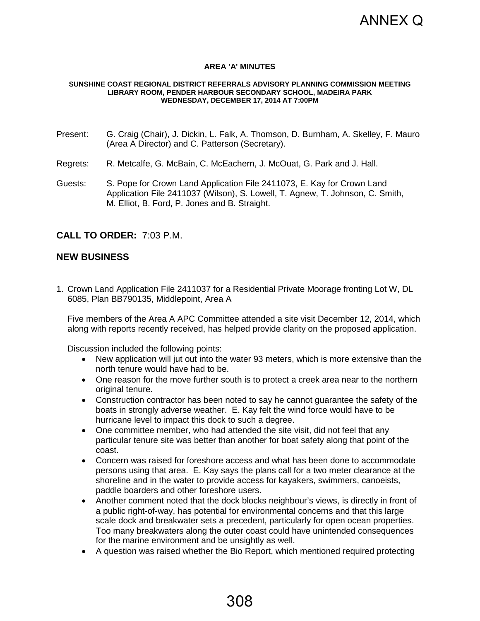

### **AREA 'A' MINUTES**

#### <span id="page-6-0"></span>**SUNSHINE COAST REGIONAL DISTRICT REFERRALS ADVISORY PLANNING COMMISSION MEETING LIBRARY ROOM, PENDER HARBOUR SECONDARY SCHOOL, MADEIRA PARK WEDNESDAY, DECEMBER 17, 2014 AT 7:00PM**

- Present: G. Craig (Chair), J. Dickin, L. Falk, A. Thomson, D. Burnham, A. Skelley, F. Mauro (Area A Director) and C. Patterson (Secretary).
- Regrets: R. Metcalfe, G. McBain, C. McEachern, J. McOuat, G. Park and J. Hall.
- Guests: S. Pope for Crown Land Application File 2411073, E. Kay for Crown Land Application File 2411037 (Wilson), S. Lowell, T. Agnew, T. Johnson, C. Smith, M. Elliot, B. Ford, P. Jones and B. Straight.

# **CALL TO ORDER:** 7:03 P.M.

### **NEW BUSINESS**

1. Crown Land Application File 2411037 for a Residential Private Moorage fronting Lot W, DL 6085, Plan BB790135, Middlepoint, Area A

Five members of the Area A APC Committee attended a site visit December 12, 2014, which along with reports recently received, has helped provide clarity on the proposed application.

Discussion included the following points:

- New application will jut out into the water 93 meters, which is more extensive than the north tenure would have had to be.
- One reason for the move further south is to protect a creek area near to the northern original tenure.
- Construction contractor has been noted to say he cannot guarantee the safety of the boats in strongly adverse weather. E. Kay felt the wind force would have to be hurricane level to impact this dock to such a degree.
- One committee member, who had attended the site visit, did not feel that any particular tenure site was better than another for boat safety along that point of the coast.
- Concern was raised for foreshore access and what has been done to accommodate persons using that area. E. Kay says the plans call for a two meter clearance at the shoreline and in the water to provide access for kayakers, swimmers, canoeists, paddle boarders and other foreshore users.
- Another comment noted that the dock blocks neighbour's views, is directly in front of a public right-of-way, has potential for environmental concerns and that this large scale dock and breakwater sets a precedent, particularly for open ocean properties. Too many breakwaters along the outer coast could have unintended consequences for the marine environment and be unsightly as well.
- A question was raised whether the Bio Report, which mentioned required protecting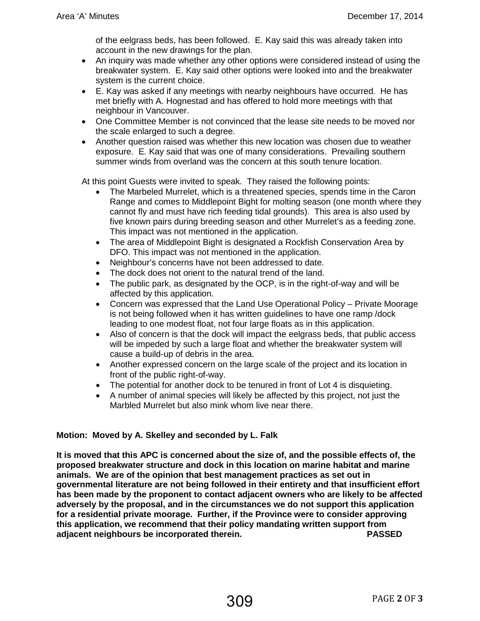of the eelgrass beds, has been followed. E. Kay said this was already taken into account in the new drawings for the plan.

- An inquiry was made whether any other options were considered instead of using the breakwater system. E. Kay said other options were looked into and the breakwater system is the current choice.
- E. Kay was asked if any meetings with nearby neighbours have occurred. He has met briefly with A. Hognestad and has offered to hold more meetings with that neighbour in Vancouver.
- One Committee Member is not convinced that the lease site needs to be moved nor the scale enlarged to such a degree.
- Another question raised was whether this new location was chosen due to weather exposure. E. Kay said that was one of many considerations. Prevailing southern summer winds from overland was the concern at this south tenure location.

At this point Guests were invited to speak. They raised the following points:

- The Marbeled Murrelet, which is a threatened species, spends time in the Caron Range and comes to Middlepoint Bight for molting season (one month where they cannot fly and must have rich feeding tidal grounds). This area is also used by five known pairs during breeding season and other Murrelet's as a feeding zone. This impact was not mentioned in the application.
- The area of Middlepoint Bight is designated a Rockfish Conservation Area by DFO. This impact was not mentioned in the application.
- Neighbour's concerns have not been addressed to date.
- The dock does not orient to the natural trend of the land.
- The public park, as designated by the OCP, is in the right-of-way and will be affected by this application.
- Concern was expressed that the Land Use Operational Policy Private Moorage is not being followed when it has written guidelines to have one ramp /dock leading to one modest float, not four large floats as in this application.
- Also of concern is that the dock will impact the eelgrass beds, that public access will be impeded by such a large float and whether the breakwater system will cause a build-up of debris in the area.
- Another expressed concern on the large scale of the project and its location in front of the public right-of-way.
- The potential for another dock to be tenured in front of Lot 4 is disquieting.
- A number of animal species will likely be affected by this project, not just the Marbled Murrelet but also mink whom live near there.

# **Motion: Moved by A. Skelley and seconded by L. Falk**

**It is moved that this APC is concerned about the size of, and the possible effects of, the proposed breakwater structure and dock in this location on marine habitat and marine animals. We are of the opinion that best management practices as set out in governmental literature are not being followed in their entirety and that insufficient effort has been made by the proponent to contact adjacent owners who are likely to be affected adversely by the proposal, and in the circumstances we do not support this application for a residential private moorage. Further, if the Province were to consider approving this application, we recommend that their policy mandating written support from adjacent neighbours be incorporated therein. PASSED**